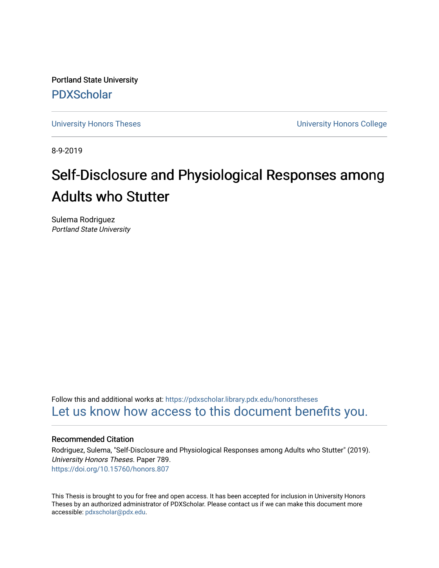Portland State University [PDXScholar](https://pdxscholar.library.pdx.edu/)

[University Honors Theses](https://pdxscholar.library.pdx.edu/honorstheses) [University Honors College](https://pdxscholar.library.pdx.edu/honors) 

8-9-2019

# Self-Disclosure and Physiological Responses among Adults who Stutter

Sulema Rodriguez Portland State University

Follow this and additional works at: [https://pdxscholar.library.pdx.edu/honorstheses](https://pdxscholar.library.pdx.edu/honorstheses?utm_source=pdxscholar.library.pdx.edu%2Fhonorstheses%2F789&utm_medium=PDF&utm_campaign=PDFCoverPages)  [Let us know how access to this document benefits you.](http://library.pdx.edu/services/pdxscholar-services/pdxscholar-feedback/) 

#### Recommended Citation

Rodriguez, Sulema, "Self-Disclosure and Physiological Responses among Adults who Stutter" (2019). University Honors Theses. Paper 789. <https://doi.org/10.15760/honors.807>

This Thesis is brought to you for free and open access. It has been accepted for inclusion in University Honors Theses by an authorized administrator of PDXScholar. Please contact us if we can make this document more accessible: [pdxscholar@pdx.edu.](mailto:pdxscholar@pdx.edu)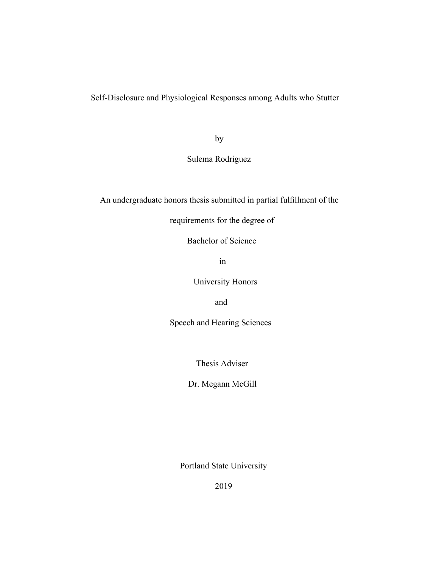Self-Disclosure and Physiological Responses among Adults who Stutter

by

Sulema Rodriguez

An undergraduate honors thesis submitted in partial fulllment of the

requirements for the degree of

Bachelor of Science

in

University Honors

and

Speech and Hearing Sciences

Thesis Adviser

Dr. Megann McGill

Portland State University

2019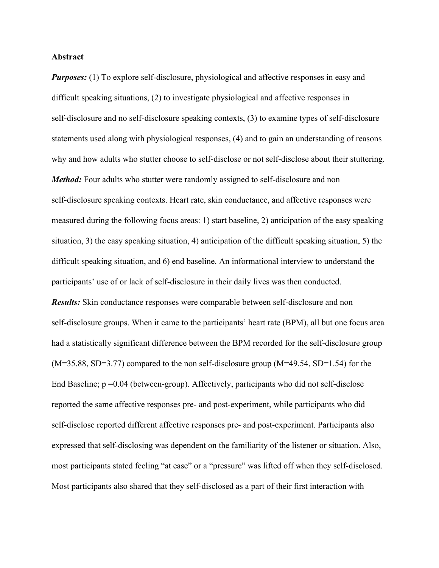#### **Abstract**

*Purposes:* (1) To explore self-disclosure, physiological and affective responses in easy and difficult speaking situations, (2) to investigate physiological and affective responses in self-disclosure and no self-disclosure speaking contexts, (3) to examine types of self-disclosure statements used along with physiological responses, (4) and to gain an understanding of reasons why and how adults who stutter choose to self-disclose or not self-disclose about their stuttering. *Method:* Four adults who stutter were randomly assigned to self-disclosure and non self-disclosure speaking contexts. Heart rate, skin conductance, and affective responses were measured during the following focus areas: 1) start baseline, 2) anticipation of the easy speaking situation, 3) the easy speaking situation, 4) anticipation of the difficult speaking situation, 5) the difficult speaking situation, and 6) end baseline. An informational interview to understand the participants' use of or lack of self-disclosure in their daily lives was then conducted. *Results:* Skin conductance responses were comparable between self-disclosure and non self-disclosure groups. When it came to the participants' heart rate (BPM), all but one focus area had a statistically significant difference between the BPM recorded for the self-disclosure group (M=35.88, SD=3.77) compared to the non self-disclosure group (M=49.54, SD=1.54) for the End Baseline; p =0.04 (between-group). Affectively, participants who did not self-disclose reported the same affective responses pre- and post-experiment, while participants who did self-disclose reported different affective responses pre- and post-experiment. Participants also expressed that self-disclosing was dependent on the familiarity of the listener or situation. Also, most participants stated feeling "at ease" or a "pressure" was lifted off when they self-disclosed. Most participants also shared that they self-disclosed as a part of their first interaction with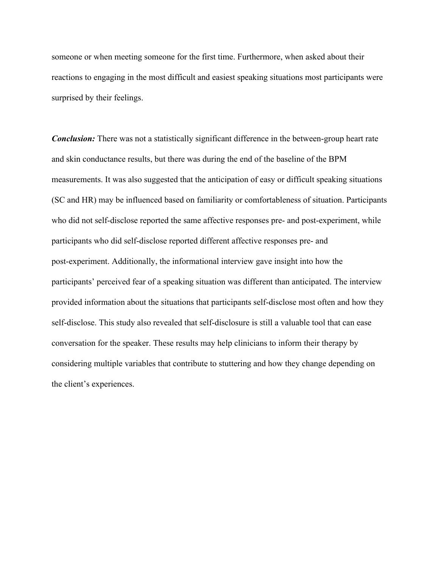someone or when meeting someone for the first time. Furthermore, when asked about their reactions to engaging in the most difficult and easiest speaking situations most participants were surprised by their feelings.

*Conclusion:* There was not a statistically significant difference in the between-group heart rate and skin conductance results, but there was during the end of the baseline of the BPM measurements. It was also suggested that the anticipation of easy or difficult speaking situations (SC and HR) may be influenced based on familiarity or comfortableness of situation. Participants who did not self-disclose reported the same affective responses pre- and post-experiment, while participants who did self-disclose reported different affective responses pre- and post-experiment. Additionally, the informational interview gave insight into how the participants' perceived fear of a speaking situation was different than anticipated. The interview provided information about the situations that participants self-disclose most often and how they self-disclose. This study also revealed that self-disclosure is still a valuable tool that can ease conversation for the speaker. These results may help clinicians to inform their therapy by considering multiple variables that contribute to stuttering and how they change depending on the client's experiences.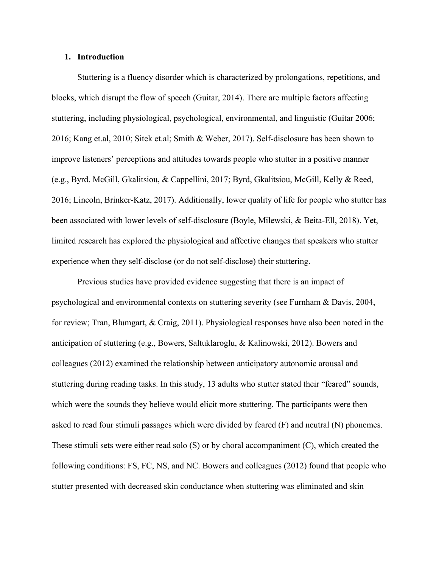#### **1. Introduction**

Stuttering is a fluency disorder which is characterized by prolongations, repetitions, and blocks, which disrupt the flow of speech (Guitar, 2014). There are multiple factors affecting stuttering, including physiological, psychological, environmental, and linguistic (Guitar 2006; 2016; Kang et.al, 2010; Sitek et.al; Smith & Weber, 2017). Self-disclosure has been shown to improve listeners' perceptions and attitudes towards people who stutter in a positive manner (e.g., Byrd, McGill, Gkalitsiou, & Cappellini, 2017; Byrd, Gkalitsiou, McGill, Kelly & Reed, 2016; Lincoln, Brinker-Katz, 2017). Additionally, lower quality of life for people who stutter has been associated with lower levels of self-disclosure (Boyle, Milewski, & Beita-Ell, 2018). Yet, limited research has explored the physiological and affective changes that speakers who stutter experience when they self-disclose (or do not self-disclose) their stuttering.

Previous studies have provided evidence suggesting that there is an impact of psychological and environmental contexts on stuttering severity (see Furnham & Davis, 2004, for review; Tran, Blumgart, & Craig, 2011). Physiological responses have also been noted in the anticipation of stuttering (e.g., Bowers, Saltuklaroglu, & Kalinowski, 2012). Bowers and colleagues (2012) examined the relationship between anticipatory autonomic arousal and stuttering during reading tasks. In this study, 13 adults who stutter stated their "feared" sounds, which were the sounds they believe would elicit more stuttering. The participants were then asked to read four stimuli passages which were divided by feared (F) and neutral (N) phonemes. These stimuli sets were either read solo (S) or by choral accompaniment (C), which created the following conditions: FS, FC, NS, and NC. Bowers and colleagues (2012) found that people who stutter presented with decreased skin conductance when stuttering was eliminated and skin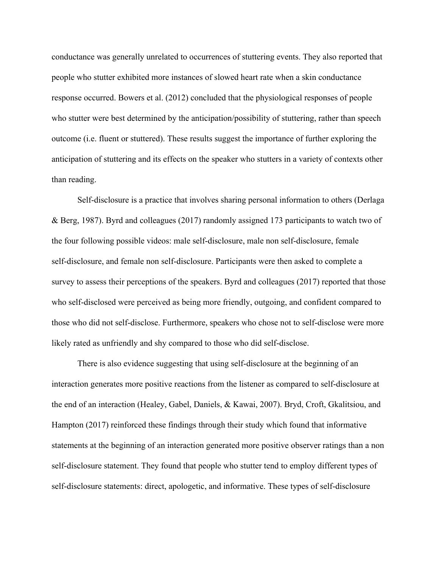conductance was generally unrelated to occurrences of stuttering events. They also reported that people who stutter exhibited more instances of slowed heart rate when a skin conductance response occurred. Bowers et al. (2012) concluded that the physiological responses of people who stutter were best determined by the anticipation/possibility of stuttering, rather than speech outcome (i.e. fluent or stuttered). These results suggest the importance of further exploring the anticipation of stuttering and its effects on the speaker who stutters in a variety of contexts other than reading.

Self-disclosure is a practice that involves sharing personal information to others (Derlaga & Berg, 1987). Byrd and colleagues (2017) randomly assigned 173 participants to watch two of the four following possible videos: male self-disclosure, male non self-disclosure, female self-disclosure, and female non self-disclosure. Participants were then asked to complete a survey to assess their perceptions of the speakers. Byrd and colleagues (2017) reported that those who self-disclosed were perceived as being more friendly, outgoing, and confident compared to those who did not self-disclose. Furthermore, speakers who chose not to self-disclose were more likely rated as unfriendly and shy compared to those who did self-disclose.

There is also evidence suggesting that using self-disclosure at the beginning of an interaction generates more positive reactions from the listener as compared to self-disclosure at the end of an interaction (Healey, Gabel, Daniels, & Kawai, 2007). Bryd, Croft, Gkalitsiou, and Hampton (2017) reinforced these findings through their study which found that informative statements at the beginning of an interaction generated more positive observer ratings than a non self-disclosure statement. They found that people who stutter tend to employ different types of self-disclosure statements: direct, apologetic, and informative. These types of self-disclosure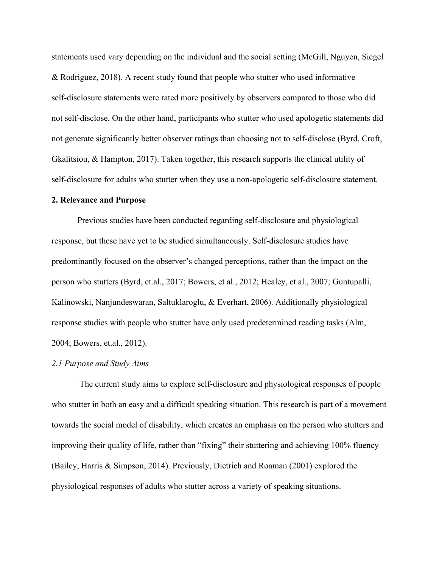statements used vary depending on the individual and the social setting (McGill, Nguyen, Siegel & Rodriguez, 2018). A recent study found that people who stutter who used informative self-disclosure statements were rated more positively by observers compared to those who did not self-disclose. On the other hand, participants who stutter who used apologetic statements did not generate significantly better observer ratings than choosing not to self-disclose (Byrd, Croft, Gkalitsiou, & Hampton, 2017). Taken together, this research supports the clinical utility of self-disclosure for adults who stutter when they use a non-apologetic self-disclosure statement.

#### **2. Relevance and Purpose**

Previous studies have been conducted regarding self-disclosure and physiological response, but these have yet to be studied simultaneously. Self-disclosure studies have predominantly focused on the observer's changed perceptions, rather than the impact on the person who stutters (Byrd, et.al., 2017; Bowers, et al., 2012; Healey, et.al., 2007; Guntupalli, Kalinowski, Nanjundeswaran, Saltuklaroglu, & Everhart, 2006). Additionally physiological response studies with people who stutter have only used predetermined reading tasks (Alm, 2004; Bowers, et.al., 2012).

#### *2.1 Purpose and Study Aims*

 The current study aims to explore self-disclosure and physiological responses of people who stutter in both an easy and a difficult speaking situation. This research is part of a movement towards the social model of disability, which creates an emphasis on the person who stutters and improving their quality of life, rather than "fixing" their stuttering and achieving 100% fluency (Bailey, Harris & Simpson, 2014). Previously, Dietrich and Roaman (2001) explored the physiological responses of adults who stutter across a variety of speaking situations.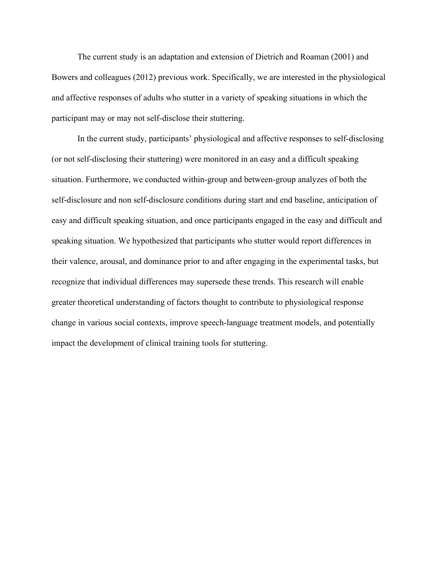The current study is an adaptation and extension of Dietrich and Roaman (2001) and Bowers and colleagues (2012) previous work. Specifically, we are interested in the physiological and affective responses of adults who stutter in a variety of speaking situations in which the participant may or may not self-disclose their stuttering.

In the current study, participants' physiological and affective responses to self-disclosing (or not self-disclosing their stuttering) were monitored in an easy and a difficult speaking situation. Furthermore, we conducted within-group and between-group analyzes of both the self-disclosure and non self-disclosure conditions during start and end baseline, anticipation of easy and difficult speaking situation, and once participants engaged in the easy and difficult and speaking situation. We hypothesized that participants who stutter would report differences in their valence, arousal, and dominance prior to and after engaging in the experimental tasks, but recognize that individual differences may supersede these trends. This research will enable greater theoretical understanding of factors thought to contribute to physiological response change in various social contexts, improve speech-language treatment models, and potentially impact the development of clinical training tools for stuttering.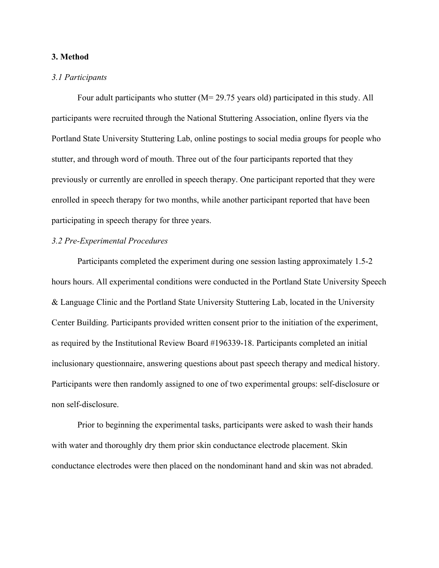#### **3. Method**

## *3.1 Participants*

Four adult participants who stutter (M= 29.75 years old) participated in this study. All participants were recruited through the National Stuttering Association, online flyers via the Portland State University Stuttering Lab, online postings to social media groups for people who stutter, and through word of mouth. Three out of the four participants reported that they previously or currently are enrolled in speech therapy. One participant reported that they were enrolled in speech therapy for two months, while another participant reported that have been participating in speech therapy for three years.

## *3.2 Pre-Experimental Procedures*

Participants completed the experiment during one session lasting approximately 1.5-2 hours hours. All experimental conditions were conducted in the Portland State University Speech & Language Clinic and the Portland State University Stuttering Lab, located in the University Center Building. Participants provided written consent prior to the initiation of the experiment, as required by the Institutional Review Board #196339-18. Participants completed an initial inclusionary questionnaire, answering questions about past speech therapy and medical history. Participants were then randomly assigned to one of two experimental groups: self-disclosure or non self-disclosure.

Prior to beginning the experimental tasks, participants were asked to wash their hands with water and thoroughly dry them prior skin conductance electrode placement. Skin conductance electrodes were then placed on the nondominant hand and skin was not abraded.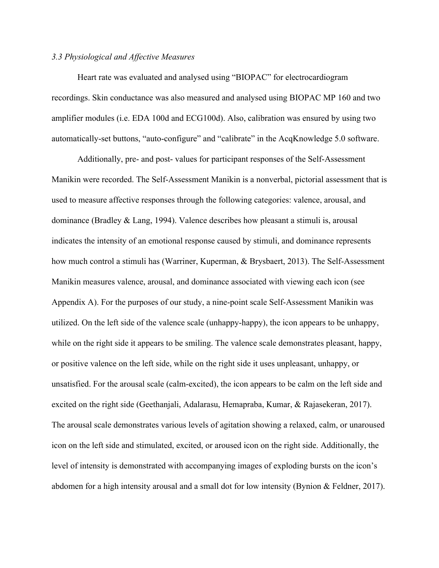#### *3.3 Physiological and Affective Measures*

Heart rate was evaluated and analysed using "BIOPAC" for electrocardiogram recordings. Skin conductance was also measured and analysed using BIOPAC MP 160 and two amplifier modules (i.e. EDA 100d and ECG100d). Also, calibration was ensured by using two automatically-set buttons, "auto-configure" and "calibrate" in the AcqKnowledge 5.0 software.

Additionally, pre- and post- values for participant responses of the Self-Assessment Manikin were recorded. The Self-Assessment Manikin is a nonverbal, pictorial assessment that is used to measure affective responses through the following categories: valence, arousal, and dominance (Bradley & Lang, 1994). Valence describes how pleasant a stimuli is, arousal indicates the intensity of an emotional response caused by stimuli, and dominance represents how much control a stimuli has (Warriner, Kuperman, & Brysbaert, 2013). The Self-Assessment Manikin measures valence, arousal, and dominance associated with viewing each icon (see Appendix A). For the purposes of our study, a nine-point scale Self-Assessment Manikin was utilized. On the left side of the valence scale (unhappy-happy), the icon appears to be unhappy, while on the right side it appears to be smiling. The valence scale demonstrates pleasant, happy, or positive valence on the left side, while on the right side it uses unpleasant, unhappy, or unsatisfied. For the arousal scale (calm-excited), the icon appears to be calm on the left side and excited on the right side (Geethanjali, Adalarasu, Hemapraba, Kumar, & Rajasekeran, 2017). The arousal scale demonstrates various levels of agitation showing a relaxed, calm, or unaroused icon on the left side and stimulated, excited, or aroused icon on the right side. Additionally, the level of intensity is demonstrated with accompanying images of exploding bursts on the icon's abdomen for a high intensity arousal and a small dot for low intensity (Bynion & Feldner, 2017).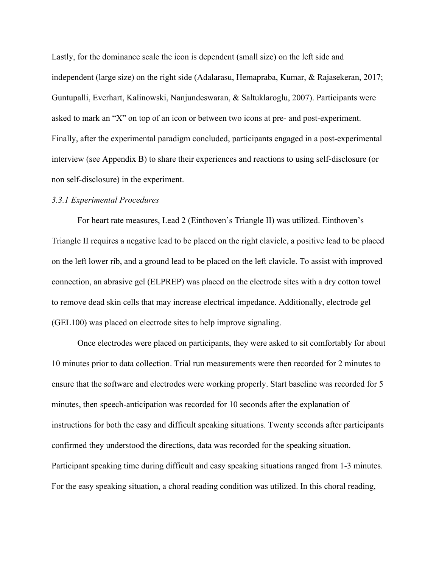Lastly, for the dominance scale the icon is dependent (small size) on the left side and independent (large size) on the right side (Adalarasu, Hemapraba, Kumar, & Rajasekeran, 2017; Guntupalli, Everhart, Kalinowski, Nanjundeswaran, & Saltuklaroglu, 2007). Participants were asked to mark an "X" on top of an icon or between two icons at pre- and post-experiment. Finally, after the experimental paradigm concluded, participants engaged in a post-experimental interview (see Appendix B) to share their experiences and reactions to using self-disclosure (or non self-disclosure) in the experiment.

#### *3.3.1 Experimental Procedures*

For heart rate measures, Lead 2 (Einthoven's Triangle II) was utilized. Einthoven's Triangle II requires a negative lead to be placed on the right clavicle, a positive lead to be placed on the left lower rib, and a ground lead to be placed on the left clavicle. To assist with improved connection, an abrasive gel (ELPREP) was placed on the electrode sites with a dry cotton towel to remove dead skin cells that may increase electrical impedance. Additionally, electrode gel (GEL100) was placed on electrode sites to help improve signaling.

Once electrodes were placed on participants, they were asked to sit comfortably for about 10 minutes prior to data collection. Trial run measurements were then recorded for 2 minutes to ensure that the software and electrodes were working properly. Start baseline was recorded for 5 minutes, then speech-anticipation was recorded for 10 seconds after the explanation of instructions for both the easy and difficult speaking situations. Twenty seconds after participants confirmed they understood the directions, data was recorded for the speaking situation. Participant speaking time during difficult and easy speaking situations ranged from 1-3 minutes. For the easy speaking situation, a choral reading condition was utilized. In this choral reading,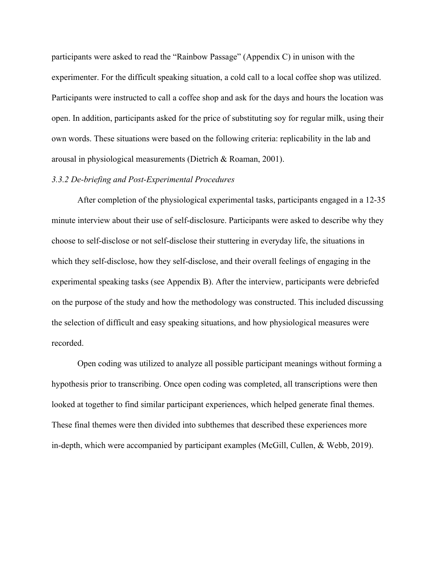participants were asked to read the "Rainbow Passage" (Appendix C) in unison with the experimenter. For the difficult speaking situation, a cold call to a local coffee shop was utilized. Participants were instructed to call a coffee shop and ask for the days and hours the location was open. In addition, participants asked for the price of substituting soy for regular milk, using their own words. These situations were based on the following criteria: replicability in the lab and arousal in physiological measurements (Dietrich & Roaman, 2001).

#### *3.3.2 De-briefing and Post-Experimental Procedures*

After completion of the physiological experimental tasks, participants engaged in a 12-35 minute interview about their use of self-disclosure. Participants were asked to describe why they choose to self-disclose or not self-disclose their stuttering in everyday life, the situations in which they self-disclose, how they self-disclose, and their overall feelings of engaging in the experimental speaking tasks (see Appendix B). After the interview, participants were debriefed on the purpose of the study and how the methodology was constructed. This included discussing the selection of difficult and easy speaking situations, and how physiological measures were recorded.

Open coding was utilized to analyze all possible participant meanings without forming a hypothesis prior to transcribing. Once open coding was completed, all transcriptions were then looked at together to find similar participant experiences, which helped generate final themes. These final themes were then divided into subthemes that described these experiences more in-depth, which were accompanied by participant examples (McGill, Cullen, & Webb, 2019).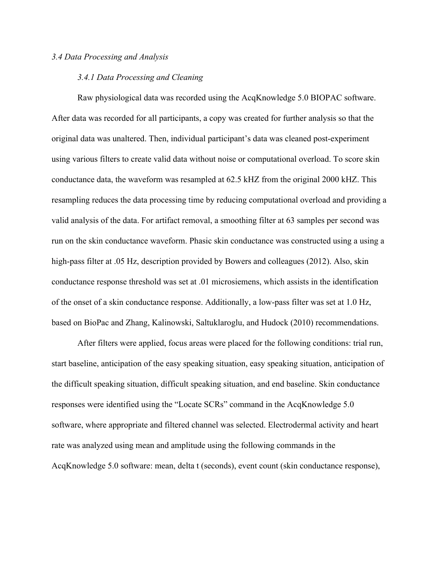#### *3.4 Data Processing and Analysis*

#### *3.4.1 Data Processing and Cleaning*

Raw physiological data was recorded using the AcqKnowledge 5.0 BIOPAC software. After data was recorded for all participants, a copy was created for further analysis so that the original data was unaltered. Then, individual participant's data was cleaned post-experiment using various filters to create valid data without noise or computational overload. To score skin conductance data, the waveform was resampled at 62.5 kHZ from the original 2000 kHZ. This resampling reduces the data processing time by reducing computational overload and providing a valid analysis of the data. For artifact removal, a smoothing filter at 63 samples per second was run on the skin conductance waveform. Phasic skin conductance was constructed using a using a high-pass filter at .05 Hz, description provided by Bowers and colleagues (2012). Also, skin conductance response threshold was set at .01 microsiemens, which assists in the identification of the onset of a skin conductance response. Additionally, a low-pass filter was set at 1.0 Hz, based on BioPac and Zhang, Kalinowski, Saltuklaroglu, and Hudock (2010) recommendations.

After filters were applied, focus areas were placed for the following conditions: trial run, start baseline, anticipation of the easy speaking situation, easy speaking situation, anticipation of the difficult speaking situation, difficult speaking situation, and end baseline. Skin conductance responses were identified using the "Locate SCRs" command in the AcqKnowledge 5.0 software, where appropriate and filtered channel was selected. Electrodermal activity and heart rate was analyzed using mean and amplitude using the following commands in the AcqKnowledge 5.0 software: mean, delta t (seconds), event count (skin conductance response),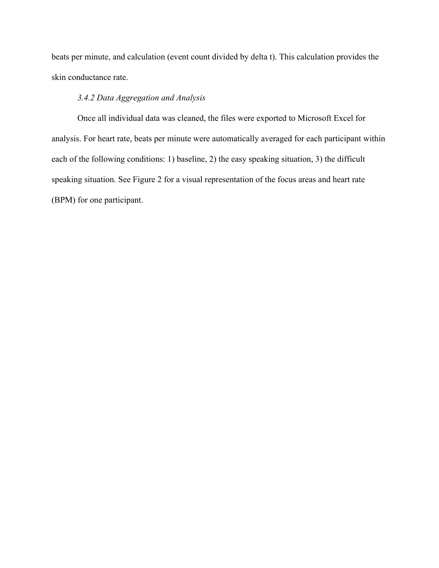beats per minute, and calculation (event count divided by delta t). This calculation provides the skin conductance rate.

## *3.4.2 Data Aggregation and Analysis*

Once all individual data was cleaned, the files were exported to Microsoft Excel for analysis. For heart rate, beats per minute were automatically averaged for each participant within each of the following conditions: 1) baseline, 2) the easy speaking situation, 3) the difficult speaking situation. See Figure 2 for a visual representation of the focus areas and heart rate (BPM) for one participant.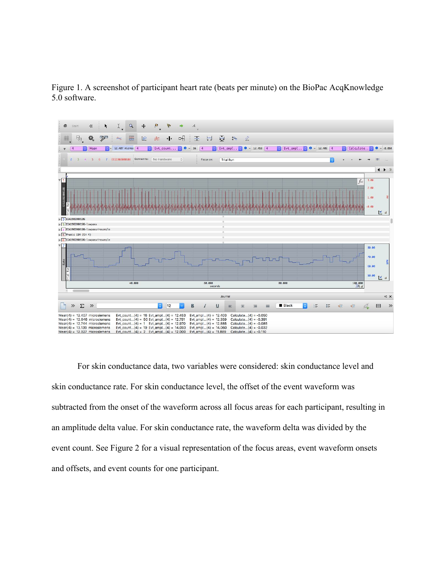



For skin conductance data, two variables were considered: skin conductance level and skin conductance rate. For skin conductance level, the offset of the event waveform was subtracted from the onset of the waveform across all focus areas for each participant, resulting in an amplitude delta value. For skin conductance rate, the waveform delta was divided by the event count. See Figure 2 for a visual representation of the focus areas, event waveform onsets and offsets, and event counts for one participant.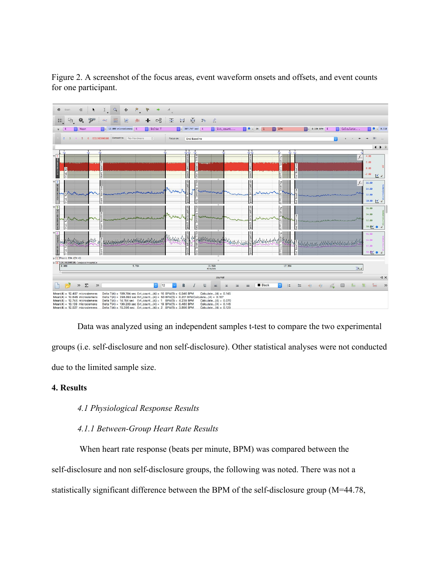Figure 2. A screenshot of the focus areas, event waveform onsets and offsets, and event counts for one participant.



Data was analyzed using an independent samples t-test to compare the two experimental groups (i.e. self-disclosure and non self-disclosure). Other statistical analyses were not conducted due to the limited sample size.

## **4. Results**

## *4.1 Physiological Response Results*

#### *4.1.1 Between-Group Heart Rate Results*

 When heart rate response (beats per minute, BPM) was compared between the self-disclosure and non self-disclosure groups, the following was noted. There was not a statistically significant difference between the BPM of the self-disclosure group (M=44.78,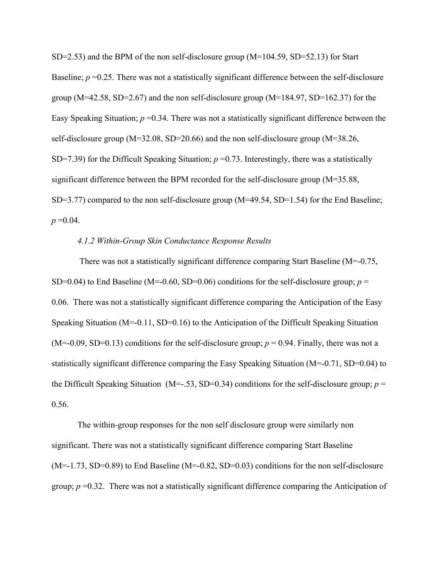$SD=2.53$ ) and the BPM of the non self-disclosure group (M=104.59, SD=52.13) for Start Baseline; *p* =0.25. There was not a statistically significant difference between the self-disclosure group ( $M=42.58$ ,  $SD=2.67$ ) and the non self-disclosure group ( $M=184.97$ ,  $SD=162.37$ ) for the Easy Speaking Situation;  $p = 0.34$ . There was not a statistically significant difference between the self-disclosure group (M=32.08, SD=20.66) and the non self-disclosure group (M=38.26, SD=7.39) for the Difficult Speaking Situation;  $p = 0.73$ . Interestingly, there was a statistically significant difference between the BPM recorded for the self-disclosure group (M=35.88, SD=3.77) compared to the non self-disclosure group (M=49.54, SD=1.54) for the End Baseline;  $p = 0.04$ .

#### *4.1.2 Within-Group Skin Conductance Response Results*

 There was not a statistically significant difference comparing Start Baseline (M=-0.75, SD=0.04) to End Baseline (M=-0.60, SD=0.06) conditions for the self-disclosure group;  $p =$ 0.06. There was not a statistically significant difference comparing the Anticipation of the Easy Speaking Situation (M=-0.11, SD=0.16) to the Anticipation of the Difficult Speaking Situation  $(M=-0.09, SD=0.13)$  conditions for the self-disclosure group;  $p = 0.94$ . Finally, there was not a statistically significant difference comparing the Easy Speaking Situation (M=-0.71, SD=0.04) to the Difficult Speaking Situation (M=-.53, SD=0.34) conditions for the self-disclosure group;  $p =$ 0.56.

The within-group responses for the non self disclosure group were similarly non significant. There was not a statistically significant difference comparing Start Baseline  $(M=-1.73, SD=0.89)$  to End Baseline  $(M=-0.82, SD=0.03)$  conditions for the non self-disclosure group; *p* =0.32. There was not a statistically significant difference comparing the Anticipation of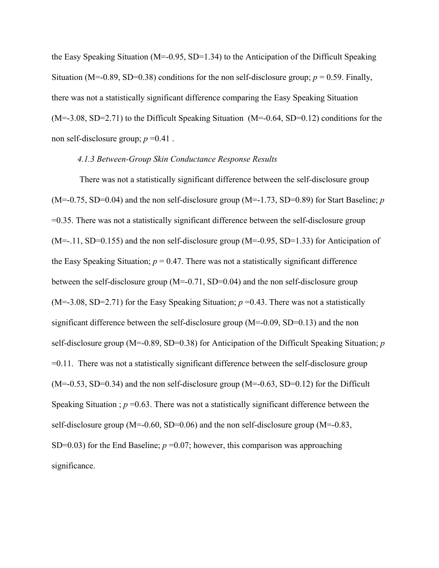the Easy Speaking Situation ( $M=-0.95$ , SD=1.34) to the Anticipation of the Difficult Speaking Situation (M=-0.89, SD=0.38) conditions for the non self-disclosure group;  $p = 0.59$ . Finally, there was not a statistically significant difference comparing the Easy Speaking Situation  $(M=-3.08, SD=2.71)$  to the Difficult Speaking Situation  $(M=-0.64, SD=0.12)$  conditions for the non self-disclosure group; *p* =0.41 .

## *4.1.3 Between-Group Skin Conductance Response Results*

 There was not a statistically significant difference between the self-disclosure group (M=-0.75, SD=0.04) and the non self-disclosure group (M=-1.73, SD=0.89) for Start Baseline; *p* =0.35. There was not a statistically significant difference between the self-disclosure group  $(M=-.11, SD=0.155)$  and the non self-disclosure group  $(M=-0.95, SD=1.33)$  for Anticipation of the Easy Speaking Situation;  $p = 0.47$ . There was not a statistically significant difference between the self-disclosure group (M=-0.71, SD=0.04) and the non self-disclosure group  $(M=3.08, SD=2.71)$  for the Easy Speaking Situation;  $p=0.43$ . There was not a statistically significant difference between the self-disclosure group (M=-0.09, SD=0.13) and the non self-disclosure group (M=-0.89, SD=0.38) for Anticipation of the Difficult Speaking Situation; *p* =0.11. There was not a statistically significant difference between the self-disclosure group  $(M=-0.53, SD=0.34)$  and the non self-disclosure group  $(M=-0.63, SD=0.12)$  for the Difficult Speaking Situation ;  $p = 0.63$ . There was not a statistically significant difference between the self-disclosure group (M=-0.60, SD=0.06) and the non self-disclosure group (M=-0.83, SD=0.03) for the End Baseline;  $p = 0.07$ ; however, this comparison was approaching significance.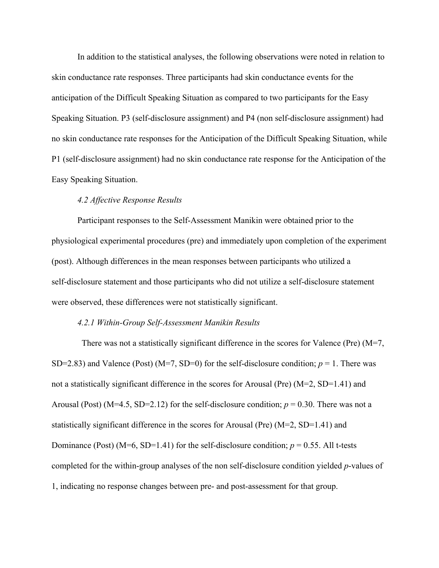In addition to the statistical analyses, the following observations were noted in relation to skin conductance rate responses. Three participants had skin conductance events for the anticipation of the Difficult Speaking Situation as compared to two participants for the Easy Speaking Situation. P3 (self-disclosure assignment) and P4 (non self-disclosure assignment) had no skin conductance rate responses for the Anticipation of the Difficult Speaking Situation, while P1 (self-disclosure assignment) had no skin conductance rate response for the Anticipation of the Easy Speaking Situation.

#### *4.2 Affective Response Results*

Participant responses to the Self-Assessment Manikin were obtained prior to the physiological experimental procedures (pre) and immediately upon completion of the experiment (post). Although differences in the mean responses between participants who utilized a self-disclosure statement and those participants who did not utilize a self-disclosure statement were observed, these differences were not statistically significant.

#### *4.2.1 Within-Group Self-Assessment Manikin Results*

There was not a statistically significant difference in the scores for Valence (Pre) (M=7, SD=2.83) and Valence (Post) (M=7, SD=0) for the self-disclosure condition;  $p = 1$ . There was not a statistically significant difference in the scores for Arousal (Pre) (M=2, SD=1.41) and Arousal (Post) ( $M=4.5$ , SD=2.12) for the self-disclosure condition;  $p = 0.30$ . There was not a statistically significant difference in the scores for Arousal (Pre) (M=2, SD=1.41) and Dominance (Post) ( $M=6$ , SD=1.41) for the self-disclosure condition;  $p = 0.55$ . All t-tests completed for the within-group analyses of the non self-disclosure condition yielded *p*-values of 1, indicating no response changes between pre- and post-assessment for that group.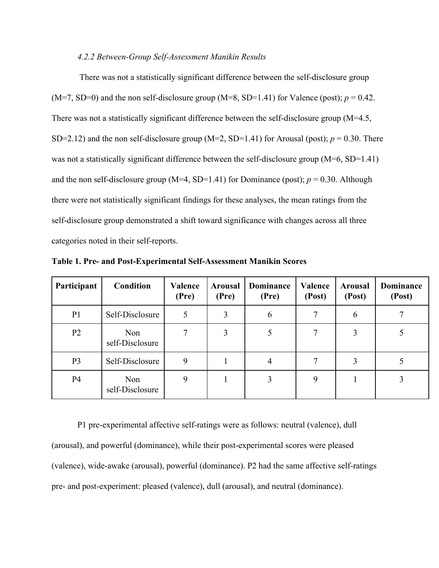#### *4.2.2 Between-Group Self-Assessment Manikin Results*

 There was not a statistically significant difference between the self-disclosure group  $(M=7, SD=0)$  and the non self-disclosure group  $(M=8, SD=1.41)$  for Valence (post);  $p = 0.42$ . There was not a statistically significant difference between the self-disclosure group (M=4.5, SD=2.12) and the non self-disclosure group (M=2, SD=1.41) for Arousal (post);  $p = 0.30$ . There was not a statistically significant difference between the self-disclosure group (M=6, SD=1.41) and the non self-disclosure group ( $M=4$ , SD=1.41) for Dominance (post);  $p = 0.30$ . Although there were not statistically significant findings for these analyses, the mean ratings from the self-disclosure group demonstrated a shift toward significance with changes across all three categories noted in their self-reports.

| Participant    | Condition              | Valence<br>(Pre) | <b>Arousal</b><br>(Pre) | <b>Dominance</b><br>(Pre) | <b>Valence</b><br>(Post) | <b>Arousal</b><br>(Post) | <b>Dominance</b><br>(Post) |
|----------------|------------------------|------------------|-------------------------|---------------------------|--------------------------|--------------------------|----------------------------|
| P <sub>1</sub> | Self-Disclosure        | 5                | 3                       | 6                         | $\tau$                   | 6                        | 7                          |
| P <sub>2</sub> | Non<br>self-Disclosure | 7                | 3                       |                           | 7                        | 3                        |                            |
| P <sub>3</sub> | Self-Disclosure        | 9                |                         | 4                         | 7                        | 3                        |                            |
| P <sub>4</sub> | Non<br>self-Disclosure | 9                |                         | 3                         | 9                        |                          | 3                          |

**Table 1. Pre- and Post-Experimental Self-Assessment Manikin Scores**

P1 pre-experimental affective self-ratings were as follows: neutral (valence), dull (arousal), and powerful (dominance), while their post-experimental scores were pleased (valence), wide-awake (arousal), powerful (dominance). P2 had the same affective self-ratings pre- and post-experiment: pleased (valence), dull (arousal), and neutral (dominance).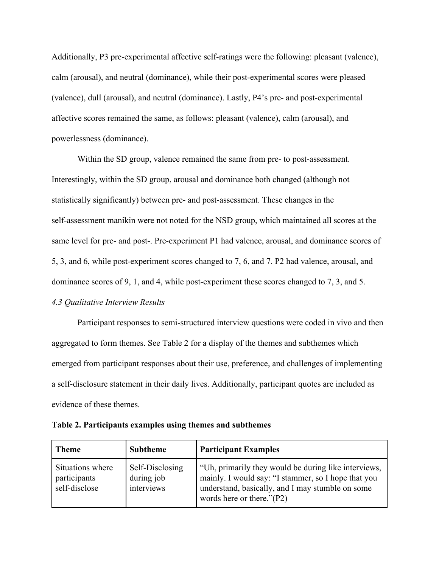Additionally, P3 pre-experimental affective self-ratings were the following: pleasant (valence), calm (arousal), and neutral (dominance), while their post-experimental scores were pleased (valence), dull (arousal), and neutral (dominance). Lastly, P4's pre- and post-experimental affective scores remained the same, as follows: pleasant (valence), calm (arousal), and powerlessness (dominance).

Within the SD group, valence remained the same from pre- to post-assessment. Interestingly, within the SD group, arousal and dominance both changed (although not statistically significantly) between pre- and post-assessment. These changes in the self-assessment manikin were not noted for the NSD group, which maintained all scores at the same level for pre- and post-. Pre-experiment P1 had valence, arousal, and dominance scores of 5, 3, and 6, while post-experiment scores changed to 7, 6, and 7. P2 had valence, arousal, and dominance scores of 9, 1, and 4, while post-experiment these scores changed to 7, 3, and 5. *4.3 Qualitative Interview Results*

Participant responses to semi-structured interview questions were coded in vivo and then aggregated to form themes. See Table 2 for a display of the themes and subthemes which emerged from participant responses about their use, preference, and challenges of implementing a self-disclosure statement in their daily lives. Additionally, participant quotes are included as evidence of these themes.

| <b>Theme</b>                                      | <b>Subtheme</b>                             | <b>Participant Examples</b>                                                                                                                                                                     |
|---------------------------------------------------|---------------------------------------------|-------------------------------------------------------------------------------------------------------------------------------------------------------------------------------------------------|
| Situations where<br>participants<br>self-disclose | Self-Disclosing<br>during job<br>interviews | "Uh, primarily they would be during like interviews,<br>mainly. I would say: "I stammer, so I hope that you<br>understand, basically, and I may stumble on some<br>words here or there." $(P2)$ |

|  |  |  |  |  |  |  | Table 2. Participants examples using themes and subthemes |
|--|--|--|--|--|--|--|-----------------------------------------------------------|
|  |  |  |  |  |  |  |                                                           |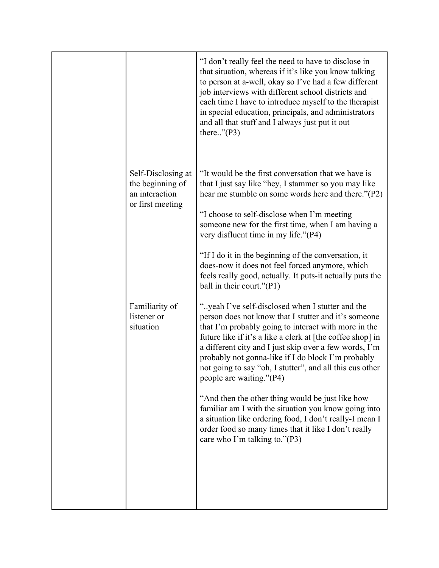|                                                                              | "I don't really feel the need to have to disclose in<br>that situation, whereas if it's like you know talking<br>to person at a-well, okay so I've had a few different<br>job interviews with different school districts and<br>each time I have to introduce myself to the therapist<br>in special education, principals, and administrators<br>and all that stuff and I always just put it out<br>there" $(P3)$                                                                                                                                                                                                                                                                                      |
|------------------------------------------------------------------------------|--------------------------------------------------------------------------------------------------------------------------------------------------------------------------------------------------------------------------------------------------------------------------------------------------------------------------------------------------------------------------------------------------------------------------------------------------------------------------------------------------------------------------------------------------------------------------------------------------------------------------------------------------------------------------------------------------------|
| Self-Disclosing at<br>the beginning of<br>an interaction<br>or first meeting | "It would be the first conversation that we have is<br>that I just say like "hey, I stammer so you may like<br>hear me stumble on some words here and there."(P2)<br>"I choose to self-disclose when I'm meeting<br>someone new for the first time, when I am having a<br>very disfluent time in my life."(P4)<br>"If I do it in the beginning of the conversation, it<br>does-now it does not feel forced anymore, which<br>feels really good, actually. It puts-it actually puts the<br>ball in their court."(P1)                                                                                                                                                                                    |
| Familiarity of<br>listener or<br>situation                                   | "yeah I've self-disclosed when I stutter and the<br>person does not know that I stutter and it's someone<br>that I'm probably going to interact with more in the<br>future like if it's a like a clerk at [the coffee shop] in<br>a different city and I just skip over a few words, I'm<br>probably not gonna-like if I do block I'm probably<br>not going to say "oh, I stutter", and all this cus other<br>people are waiting."(P4)<br>"And then the other thing would be just like how<br>familiar am I with the situation you know going into<br>a situation like ordering food, I don't really-I mean I<br>order food so many times that it like I don't really<br>care who I'm talking to."(P3) |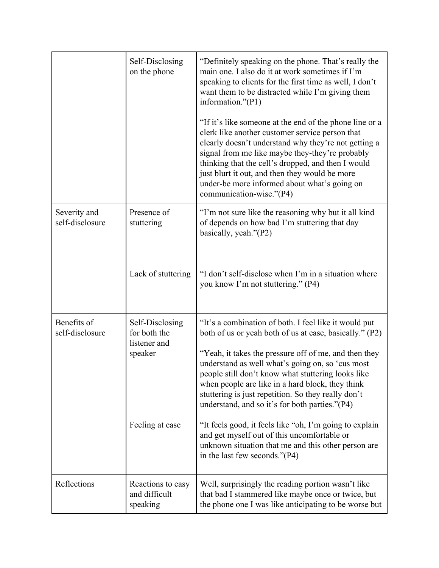|                                 | Self-Disclosing<br>on the phone                                               | "Definitely speaking on the phone. That's really the<br>main one. I also do it at work sometimes if I'm<br>speaking to clients for the first time as well, I don't<br>want them to be distracted while I'm giving them<br>information." $(P1)$<br>"If it's like someone at the end of the phone line or a<br>clerk like another customer service person that<br>clearly doesn't understand why they're not getting a<br>signal from me like maybe they-they're probably<br>thinking that the cell's dropped, and then I would<br>just blurt it out, and then they would be more<br>under-be more informed about what's going on<br>communication-wise."(P4) |
|---------------------------------|-------------------------------------------------------------------------------|-------------------------------------------------------------------------------------------------------------------------------------------------------------------------------------------------------------------------------------------------------------------------------------------------------------------------------------------------------------------------------------------------------------------------------------------------------------------------------------------------------------------------------------------------------------------------------------------------------------------------------------------------------------|
| Severity and<br>self-disclosure | Presence of<br>stuttering<br>Lack of stuttering                               | "I'm not sure like the reasoning why but it all kind<br>of depends on how bad I'm stuttering that day<br>basically, yeah."(P2)<br>"I don't self-disclose when I'm in a situation where<br>you know I'm not stuttering." (P4)                                                                                                                                                                                                                                                                                                                                                                                                                                |
| Benefits of<br>self-disclosure  | Self-Disclosing<br>for both the<br>listener and<br>speaker<br>Feeling at ease | "It's a combination of both. I feel like it would put<br>both of us or yeah both of us at ease, basically." (P2)<br>"Yeah, it takes the pressure off of me, and then they<br>understand as well what's going on, so 'cus most<br>people still don't know what stuttering looks like<br>when people are like in a hard block, they think<br>stuttering is just repetition. So they really don't<br>understand, and so it's for both parties."(P4)<br>"It feels good, it feels like "oh, I'm going to explain<br>and get myself out of this uncomfortable or<br>unknown situation that me and this other person are<br>in the last few seconds."(P4)          |
| Reflections                     | Reactions to easy<br>and difficult<br>speaking                                | Well, surprisingly the reading portion wasn't like<br>that bad I stammered like maybe once or twice, but<br>the phone one I was like anticipating to be worse but                                                                                                                                                                                                                                                                                                                                                                                                                                                                                           |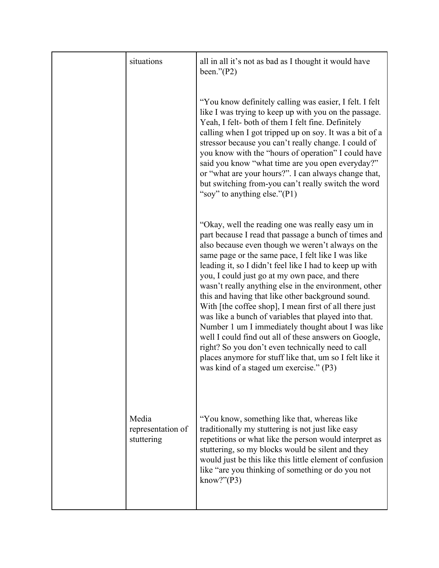| situations                               | all in all it's not as bad as I thought it would have<br>been." $(P2)$                                                                                                                                                                                                                                                                                                                                                                                                                                                                                                                                                                                                                                                                                                                                                                        |
|------------------------------------------|-----------------------------------------------------------------------------------------------------------------------------------------------------------------------------------------------------------------------------------------------------------------------------------------------------------------------------------------------------------------------------------------------------------------------------------------------------------------------------------------------------------------------------------------------------------------------------------------------------------------------------------------------------------------------------------------------------------------------------------------------------------------------------------------------------------------------------------------------|
|                                          | "You know definitely calling was easier, I felt. I felt<br>like I was trying to keep up with you on the passage.<br>Yeah, I felt- both of them I felt fine. Definitely<br>calling when I got tripped up on soy. It was a bit of a<br>stressor because you can't really change. I could of<br>you know with the "hours of operation" I could have<br>said you know "what time are you open everyday?"<br>or "what are your hours?". I can always change that,<br>but switching from-you can't really switch the word<br>"soy" to anything else."(P1)                                                                                                                                                                                                                                                                                           |
|                                          | "Okay, well the reading one was really easy um in<br>part because I read that passage a bunch of times and<br>also because even though we weren't always on the<br>same page or the same pace, I felt like I was like<br>leading it, so I didn't feel like I had to keep up with<br>you, I could just go at my own pace, and there<br>wasn't really anything else in the environment, other<br>this and having that like other background sound.<br>With [the coffee shop], I mean first of all there just<br>was like a bunch of variables that played into that.<br>Number 1 um I immediately thought about I was like<br>well I could find out all of these answers on Google,<br>right? So you don't even technically need to call<br>places anymore for stuff like that, um so I felt like it<br>was kind of a staged um exercise." (P3) |
| Media<br>representation of<br>stuttering | "You know, something like that, whereas like<br>traditionally my stuttering is not just like easy<br>repetitions or what like the person would interpret as<br>stuttering, so my blocks would be silent and they<br>would just be this like this little element of confusion<br>like "are you thinking of something or do you not<br>know?" $(P3)$                                                                                                                                                                                                                                                                                                                                                                                                                                                                                            |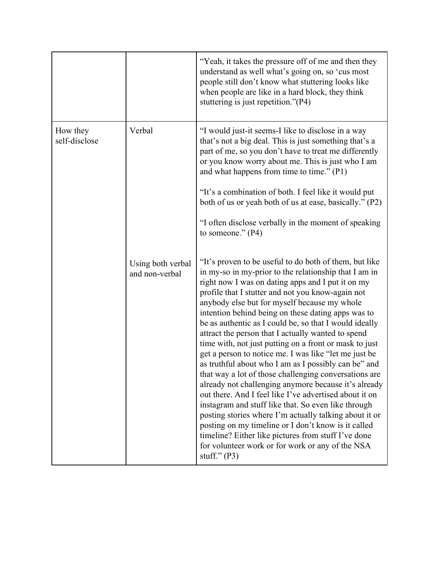|                           |                                     | "Yeah, it takes the pressure off of me and then they<br>understand as well what's going on, so 'cus most<br>people still don't know what stuttering looks like<br>when people are like in a hard block, they think<br>stuttering is just repetition."(P4)                                                                                                                                                                                                                                                                                                                                                                                                                                                                                                                                                                                                                                                                                                                                                                                                                                                  |
|---------------------------|-------------------------------------|------------------------------------------------------------------------------------------------------------------------------------------------------------------------------------------------------------------------------------------------------------------------------------------------------------------------------------------------------------------------------------------------------------------------------------------------------------------------------------------------------------------------------------------------------------------------------------------------------------------------------------------------------------------------------------------------------------------------------------------------------------------------------------------------------------------------------------------------------------------------------------------------------------------------------------------------------------------------------------------------------------------------------------------------------------------------------------------------------------|
| How they<br>self-disclose | Verbal                              | "I would just-it seems-I like to disclose in a way<br>that's not a big deal. This is just something that's a<br>part of me, so you don't have to treat me differently<br>or you know worry about me. This is just who I am<br>and what happens from time to time." (P1)<br>"It's a combination of both. I feel like it would put<br>both of us or yeah both of us at ease, basically." (P2)<br>"I often disclose verbally in the moment of speaking<br>to someone." $(P4)$                                                                                                                                                                                                                                                                                                                                                                                                                                                                                                                                                                                                                                 |
|                           | Using both verbal<br>and non-verbal | "It's proven to be useful to do both of them, but like<br>in my-so in my-prior to the relationship that I am in<br>right now I was on dating apps and I put it on my<br>profile that I stutter and not you know-again not<br>anybody else but for myself because my whole<br>intention behind being on these dating apps was to<br>be as authentic as I could be, so that I would ideally<br>attract the person that I actually wanted to spend<br>time with, not just putting on a front or mask to just<br>get a person to notice me. I was like "let me just be<br>as truthful about who I am as I possibly can be" and<br>that way a lot of those challenging conversations are<br>already not challenging anymore because it's already<br>out there. And I feel like I've advertised about it on<br>instagram and stuff like that. So even like through<br>posting stories where I'm actually talking about it or<br>posting on my timeline or I don't know is it called<br>timeline? Either like pictures from stuff I've done<br>for volunteer work or for work or any of the NSA<br>stuff." $(P3)$ |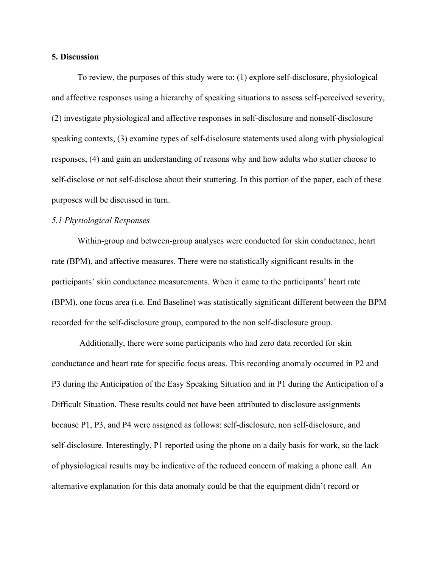#### **5. Discussion**

To review, the purposes of this study were to: (1) explore self-disclosure, physiological and affective responses using a hierarchy of speaking situations to assess self-perceived severity, (2) investigate physiological and affective responses in self-disclosure and nonself-disclosure speaking contexts, (3) examine types of self-disclosure statements used along with physiological responses, (4) and gain an understanding of reasons why and how adults who stutter choose to self-disclose or not self-disclose about their stuttering. In this portion of the paper, each of these purposes will be discussed in turn.

## *5.1 Physiological Responses*

Within-group and between-group analyses were conducted for skin conductance, heart rate (BPM), and affective measures. There were no statistically significant results in the participants' skin conductance measurements. When it came to the participants' heart rate (BPM), one focus area (i.e. End Baseline) was statistically significant different between the BPM recorded for the self-disclosure group, compared to the non self-disclosure group.

 Additionally, there were some participants who had zero data recorded for skin conductance and heart rate for specific focus areas. This recording anomaly occurred in P2 and P3 during the Anticipation of the Easy Speaking Situation and in P1 during the Anticipation of a Difficult Situation. These results could not have been attributed to disclosure assignments because P1, P3, and P4 were assigned as follows: self-disclosure, non self-disclosure, and self-disclosure. Interestingly, P1 reported using the phone on a daily basis for work, so the lack of physiological results may be indicative of the reduced concern of making a phone call. An alternative explanation for this data anomaly could be that the equipment didn't record or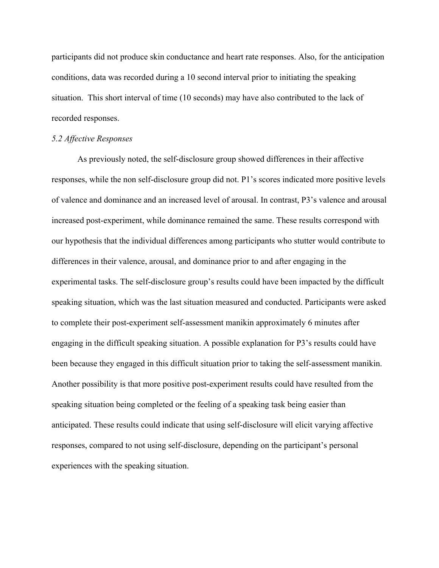participants did not produce skin conductance and heart rate responses. Also, for the anticipation conditions, data was recorded during a 10 second interval prior to initiating the speaking situation. This short interval of time (10 seconds) may have also contributed to the lack of recorded responses.

#### *5.2 Affective Responses*

As previously noted, the self-disclosure group showed differences in their affective responses, while the non self-disclosure group did not. P1's scores indicated more positive levels of valence and dominance and an increased level of arousal. In contrast, P3's valence and arousal increased post-experiment, while dominance remained the same. These results correspond with our hypothesis that the individual differences among participants who stutter would contribute to differences in their valence, arousal, and dominance prior to and after engaging in the experimental tasks. The self-disclosure group's results could have been impacted by the difficult speaking situation, which was the last situation measured and conducted. Participants were asked to complete their post-experiment self-assessment manikin approximately 6 minutes after engaging in the difficult speaking situation. A possible explanation for P3's results could have been because they engaged in this difficult situation prior to taking the self-assessment manikin. Another possibility is that more positive post-experiment results could have resulted from the speaking situation being completed or the feeling of a speaking task being easier than anticipated. These results could indicate that using self-disclosure will elicit varying affective responses, compared to not using self-disclosure, depending on the participant's personal experiences with the speaking situation.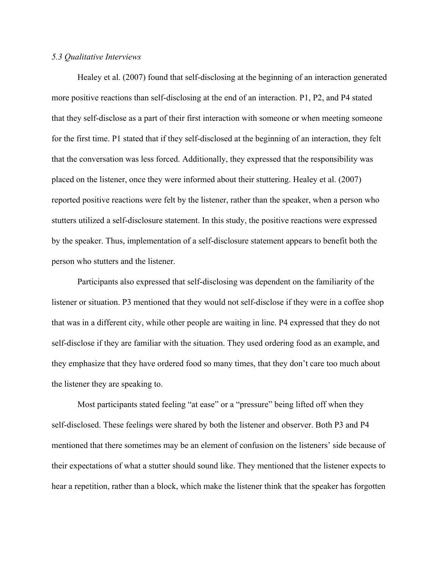#### *5.3 Qualitative Interviews*

Healey et al. (2007) found that self-disclosing at the beginning of an interaction generated more positive reactions than self-disclosing at the end of an interaction. P1, P2, and P4 stated that they self-disclose as a part of their first interaction with someone or when meeting someone for the first time. P1 stated that if they self-disclosed at the beginning of an interaction, they felt that the conversation was less forced. Additionally, they expressed that the responsibility was placed on the listener, once they were informed about their stuttering. Healey et al. (2007) reported positive reactions were felt by the listener, rather than the speaker, when a person who stutters utilized a self-disclosure statement. In this study, the positive reactions were expressed by the speaker. Thus, implementation of a self-disclosure statement appears to benefit both the person who stutters and the listener.

Participants also expressed that self-disclosing was dependent on the familiarity of the listener or situation. P3 mentioned that they would not self-disclose if they were in a coffee shop that was in a different city, while other people are waiting in line. P4 expressed that they do not self-disclose if they are familiar with the situation. They used ordering food as an example, and they emphasize that they have ordered food so many times, that they don't care too much about the listener they are speaking to.

Most participants stated feeling "at ease" or a "pressure" being lifted off when they self-disclosed. These feelings were shared by both the listener and observer. Both P3 and P4 mentioned that there sometimes may be an element of confusion on the listeners' side because of their expectations of what a stutter should sound like. They mentioned that the listener expects to hear a repetition, rather than a block, which make the listener think that the speaker has forgotten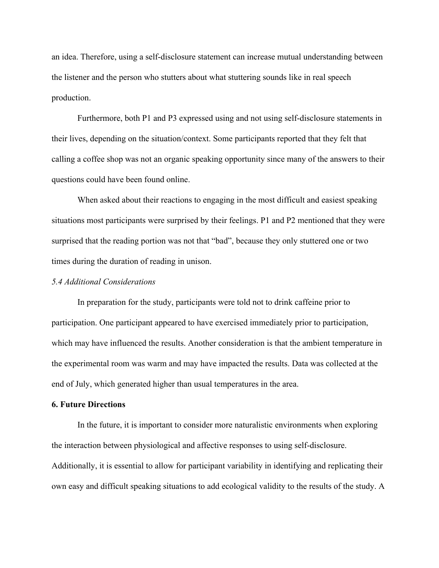an idea. Therefore, using a self-disclosure statement can increase mutual understanding between the listener and the person who stutters about what stuttering sounds like in real speech production.

Furthermore, both P1 and P3 expressed using and not using self-disclosure statements in their lives, depending on the situation/context. Some participants reported that they felt that calling a coffee shop was not an organic speaking opportunity since many of the answers to their questions could have been found online.

When asked about their reactions to engaging in the most difficult and easiest speaking situations most participants were surprised by their feelings. P1 and P2 mentioned that they were surprised that the reading portion was not that "bad", because they only stuttered one or two times during the duration of reading in unison.

#### *5.4 Additional Considerations*

In preparation for the study, participants were told not to drink caffeine prior to participation. One participant appeared to have exercised immediately prior to participation, which may have influenced the results. Another consideration is that the ambient temperature in the experimental room was warm and may have impacted the results. Data was collected at the end of July, which generated higher than usual temperatures in the area.

## **6. Future Directions**

In the future, it is important to consider more naturalistic environments when exploring the interaction between physiological and affective responses to using self-disclosure. Additionally, it is essential to allow for participant variability in identifying and replicating their own easy and difficult speaking situations to add ecological validity to the results of the study. A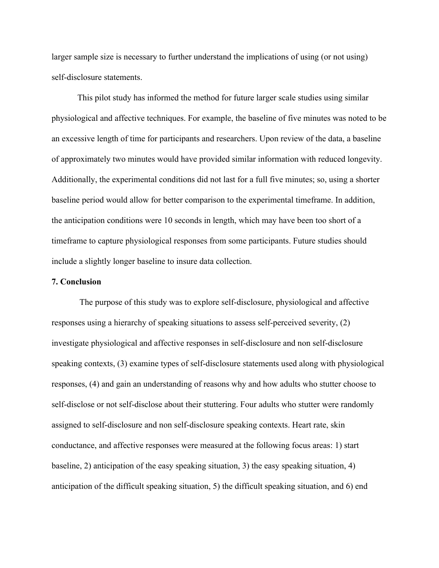larger sample size is necessary to further understand the implications of using (or not using) self-disclosure statements.

This pilot study has informed the method for future larger scale studies using similar physiological and affective techniques. For example, the baseline of five minutes was noted to be an excessive length of time for participants and researchers. Upon review of the data, a baseline of approximately two minutes would have provided similar information with reduced longevity. Additionally, the experimental conditions did not last for a full five minutes; so, using a shorter baseline period would allow for better comparison to the experimental timeframe. In addition, the anticipation conditions were 10 seconds in length, which may have been too short of a timeframe to capture physiological responses from some participants. Future studies should include a slightly longer baseline to insure data collection.

#### **7. Conclusion**

 The purpose of this study was to explore self-disclosure, physiological and affective responses using a hierarchy of speaking situations to assess self-perceived severity, (2) investigate physiological and affective responses in self-disclosure and non self-disclosure speaking contexts, (3) examine types of self-disclosure statements used along with physiological responses, (4) and gain an understanding of reasons why and how adults who stutter choose to self-disclose or not self-disclose about their stuttering. Four adults who stutter were randomly assigned to self-disclosure and non self-disclosure speaking contexts. Heart rate, skin conductance, and affective responses were measured at the following focus areas: 1) start baseline, 2) anticipation of the easy speaking situation, 3) the easy speaking situation, 4) anticipation of the difficult speaking situation, 5) the difficult speaking situation, and 6) end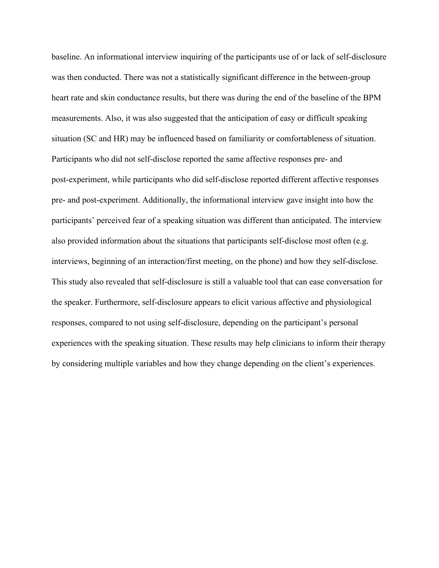baseline. An informational interview inquiring of the participants use of or lack of self-disclosure was then conducted. There was not a statistically significant difference in the between-group heart rate and skin conductance results, but there was during the end of the baseline of the BPM measurements. Also, it was also suggested that the anticipation of easy or difficult speaking situation (SC and HR) may be influenced based on familiarity or comfortableness of situation. Participants who did not self-disclose reported the same affective responses pre- and post-experiment, while participants who did self-disclose reported different affective responses pre- and post-experiment. Additionally, the informational interview gave insight into how the participants' perceived fear of a speaking situation was different than anticipated. The interview also provided information about the situations that participants self-disclose most often (e.g. interviews, beginning of an interaction/first meeting, on the phone) and how they self-disclose. This study also revealed that self-disclosure is still a valuable tool that can ease conversation for the speaker. Furthermore, self-disclosure appears to elicit various affective and physiological responses, compared to not using self-disclosure, depending on the participant's personal experiences with the speaking situation. These results may help clinicians to inform their therapy by considering multiple variables and how they change depending on the client's experiences.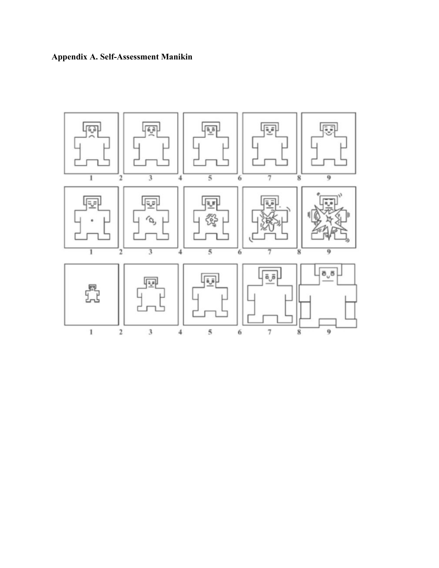

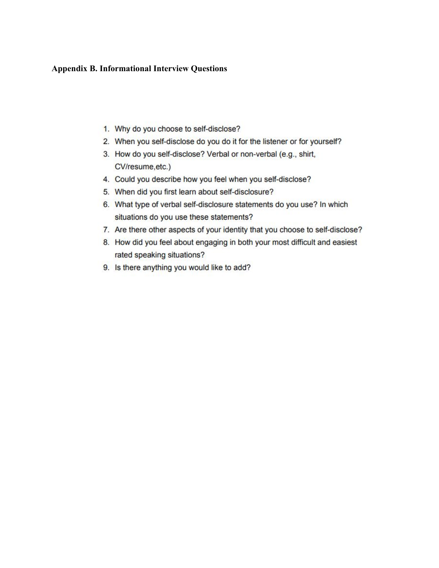## **Appendix B. Informational Interview Questions**

- 1. Why do you choose to self-disclose?
- 2. When you self-disclose do you do it for the listener or for yourself?
- 3. How do you self-disclose? Verbal or non-verbal (e.g., shirt, CV/resume, etc.)
- 4. Could you describe how you feel when you self-disclose?
- 5. When did you first learn about self-disclosure?
- 6. What type of verbal self-disclosure statements do you use? In which situations do you use these statements?
- 7. Are there other aspects of your identity that you choose to self-disclose?
- 8. How did you feel about engaging in both your most difficult and easiest rated speaking situations?
- 9. Is there anything you would like to add?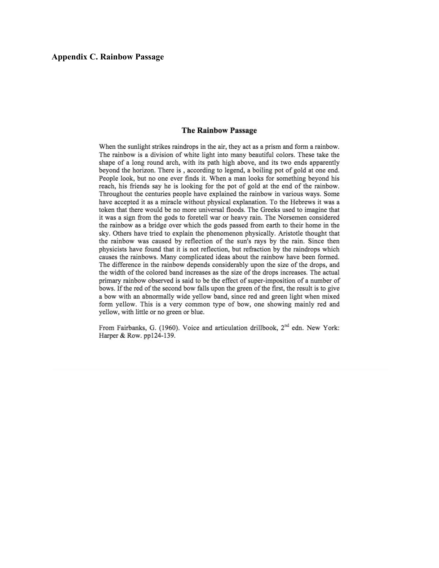#### **The Rainbow Passage**

When the sunlight strikes raindrops in the air, they act as a prism and form a rainbow. The rainbow is a division of white light into many beautiful colors. These take the shape of a long round arch, with its path high above, and its two ends apparently beyond the horizon. There is, according to legend, a boiling pot of gold at one end. People look, but no one ever finds it. When a man looks for something beyond his reach, his friends say he is looking for the pot of gold at the end of the rainbow. Throughout the centuries people have explained the rainbow in various ways. Some have accepted it as a miracle without physical explanation. To the Hebrews it was a token that there would be no more universal floods. The Greeks used to imagine that it was a sign from the gods to foretell war or heavy rain. The Norsemen considered the rainbow as a bridge over which the gods passed from earth to their home in the sky. Others have tried to explain the phenomenon physically. Aristotle thought that the rainbow was caused by reflection of the sun's rays by the rain. Since then physicists have found that it is not reflection, but refraction by the raindrops which causes the rainbows. Many complicated ideas about the rainbow have been formed. The difference in the rainbow depends considerably upon the size of the drops, and the width of the colored band increases as the size of the drops increases. The actual primary rainbow observed is said to be the effect of super-imposition of a number of bows. If the red of the second bow falls upon the green of the first, the result is to give a bow with an abnormally wide yellow band, since red and green light when mixed form yellow. This is a very common type of bow, one showing mainly red and yellow, with little or no green or blue.

From Fairbanks, G. (1960). Voice and articulation drillbook, 2<sup>nd</sup> edn. New York: Harper & Row. pp124-139.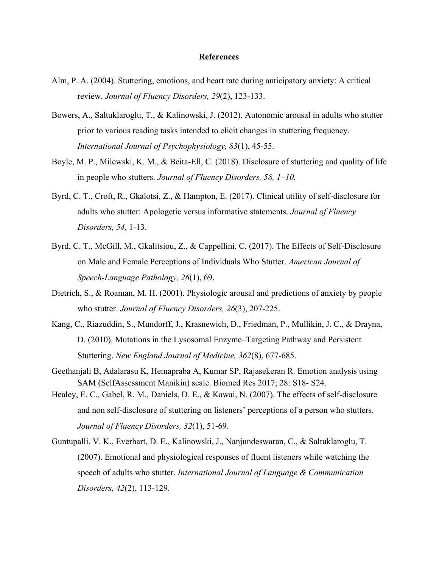#### **References**

- Alm, P. A. (2004). Stuttering, emotions, and heart rate during anticipatory anxiety: A critical review. *Journal of Fluency Disorders, 29*(2), 123-133.
- Bowers, A., Saltuklaroglu, T., & Kalinowski, J. (2012). Autonomic arousal in adults who stutter prior to various reading tasks intended to elicit changes in stuttering frequency. *International Journal of Psychophysiology, 83*(1), 45-55.
- Boyle, M. P., Milewski, K. M., & Beita-Ell, C. (2018). Disclosure of stuttering and quality of life in people who stutters. *Journal of Fluency Disorders, 58, 1–10.*
- Byrd, C. T., Croft, R., Gkalotsi, Z., & Hampton, E. (2017). Clinical utility of self-disclosure for adults who stutter: Apologetic versus informative statements. *Journal of Fluency Disorders, 54*, 1-13.
- Byrd, C. T., McGill, M., Gkalitsiou, Z., & Cappellini, C. (2017). The Effects of Self-Disclosure on Male and Female Perceptions of Individuals Who Stutter. *American Journal of Speech-Language Pathology, 26*(1), 69.
- Dietrich, S., & Roaman, M. H. (2001). Physiologic arousal and predictions of anxiety by people who stutter. *Journal of Fluency Disorders, 26*(3), 207-225.
- Kang, C., Riazuddin, S., Mundorff, J., Krasnewich, D., Friedman, P., Mullikin, J. C., & Drayna, D. (2010). Mutations in the Lysosomal Enzyme–Targeting Pathway and Persistent Stuttering. *New England Journal of Medicine, 362*(8), 677-685.
- Geethanjali B, Adalarasu K, Hemapraba A, Kumar SP, Rajasekeran R. Emotion analysis using SAM (SelfAssessment Manikin) scale. Biomed Res 2017; 28: S18- S24.
- Healey, E. C., Gabel, R. M., Daniels, D. E., & Kawai, N. (2007). The effects of self-disclosure and non self-disclosure of stuttering on listeners' perceptions of a person who stutters. *Journal of Fluency Disorders, 32*(1), 51-69.
- Guntupalli, V. K., Everhart, D. E., Kalinowski, J., Nanjundeswaran, C., & Saltuklaroglu, T. (2007). Emotional and physiological responses of fluent listeners while watching the speech of adults who stutter. *International Journal of Language & Communication Disorders, 42*(2), 113-129.